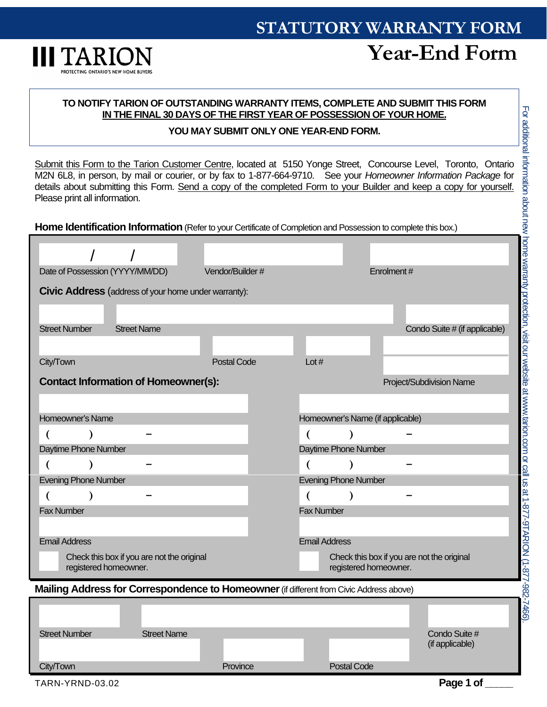# **STATUTORY WARRANTY FORM**



## **Year-End Form**

### **TO NOTIFY TARION OF OUTSTANDING WARRANTY ITEMS, COMPLETE AND SUBMIT THIS FORM IN THE FINAL 30 DAYS OF THE FIRST YEAR OF POSSESSION OF YOUR HOME.**

#### **YOU MAY SUBMIT ONLY ONE YEAR-END FORM.**

Submit this Form to the Tarion Customer Centre, located at 5150 Yonge Street, Concourse Level, Toronto, Ontario M2N 6L8, in person, by mail or courier, or by fax to 1-877-664-9710. See your *Homeowner Information Package* for details about submitting this Form. Send a copy of the completed Form to your Builder and keep a copy for yourself. Please print all information.

**Home Identification Information** (Refer to your Certificate of Completion and Possession to complete this box.)

| Date of Possession (YYYY/MM/DD)                                                         |                    | Vendor/Builder#    |                                  | Enrolment#            |                                            |  |
|-----------------------------------------------------------------------------------------|--------------------|--------------------|----------------------------------|-----------------------|--------------------------------------------|--|
| Civic Address (address of your home under warranty):                                    |                    |                    |                                  |                       |                                            |  |
|                                                                                         |                    |                    |                                  |                       |                                            |  |
| <b>Street Number</b><br><b>Street Name</b>                                              |                    |                    |                                  |                       | Condo Suite # (if applicable)              |  |
|                                                                                         |                    |                    |                                  |                       |                                            |  |
| City/Town                                                                               |                    | <b>Postal Code</b> | Lot $#$                          |                       |                                            |  |
| <b>Contact Information of Homeowner(s):</b>                                             |                    |                    |                                  |                       | Project/Subdivision Name                   |  |
|                                                                                         |                    |                    |                                  |                       |                                            |  |
| Homeowner's Name                                                                        |                    |                    | Homeowner's Name (if applicable) |                       |                                            |  |
| $\overline{\mathcal{L}}$                                                                |                    |                    |                                  | $\lambda$             |                                            |  |
| Daytime Phone Number                                                                    |                    |                    | Daytime Phone Number             |                       |                                            |  |
| $\overline{ }$<br>$\lambda$                                                             |                    |                    | €                                | $\lambda$             |                                            |  |
| <b>Evening Phone Number</b>                                                             |                    |                    | <b>Evening Phone Number</b>      |                       |                                            |  |
| €                                                                                       |                    |                    |                                  |                       |                                            |  |
| <b>Fax Number</b>                                                                       |                    |                    | <b>Fax Number</b>                |                       |                                            |  |
|                                                                                         |                    |                    |                                  |                       |                                            |  |
| <b>Email Address</b>                                                                    |                    |                    | <b>Email Address</b>             |                       |                                            |  |
| Check this box if you are not the original<br>registered homeowner.                     |                    |                    |                                  | registered homeowner. | Check this box if you are not the original |  |
| Mailing Address for Correspondence to Homeowner (if different from Civic Address above) |                    |                    |                                  |                       |                                            |  |
|                                                                                         |                    |                    |                                  |                       |                                            |  |
|                                                                                         |                    |                    |                                  |                       |                                            |  |
| <b>Street Number</b>                                                                    | <b>Street Name</b> |                    |                                  |                       | Condo Suite #                              |  |
|                                                                                         |                    |                    |                                  |                       | (if applicable)                            |  |
| City/Town                                                                               |                    | Province           |                                  | <b>Postal Code</b>    |                                            |  |